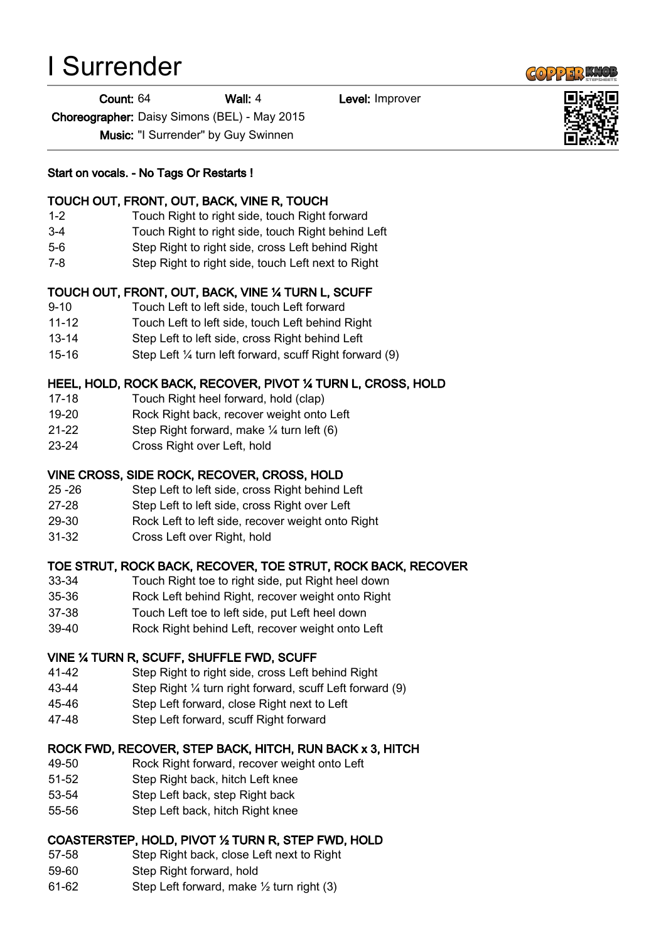# I Surrender

Count: 64 Wall: 4 Level: Improver

Choreographer: Daisy Simons (BEL) - May 2015

Music: "I Surrender" by Guy Swinnen

### Start on vocals. - No Tags Or Restarts !

### TOUCH OUT, FRONT, OUT, BACK, VINE R, TOUCH

- 1-2 Touch Right to right side, touch Right forward
- 3-4 Touch Right to right side, touch Right behind Left
- 5-6 Step Right to right side, cross Left behind Right
- 7-8 Step Right to right side, touch Left next to Right

# TOUCH OUT, FRONT, OUT, BACK, VINE ¼ TURN L, SCUFF

- 9-10 Touch Left to left side, touch Left forward
- 11-12 Touch Left to left side, touch Left behind Right
- 13-14 Step Left to left side, cross Right behind Left
- 15-16 Step Left ¼ turn left forward, scuff Right forward (9)

# HEEL, HOLD, ROCK BACK, RECOVER, PIVOT ¼ TURN L, CROSS, HOLD

- 17-18 Touch Right heel forward, hold (clap)
- 19-20 Rock Right back, recover weight onto Left
- 21-22 Step Right forward, make ¼ turn left (6)
- 23-24 Cross Right over Left, hold

# VINE CROSS, SIDE ROCK, RECOVER, CROSS, HOLD

- 25 -26 Step Left to left side, cross Right behind Left
- 27-28 Step Left to left side, cross Right over Left
- 29-30 Rock Left to left side, recover weight onto Right
- 31-32 Cross Left over Right, hold

# TOE STRUT, ROCK BACK, RECOVER, TOE STRUT, ROCK BACK, RECOVER

- 33-34 Touch Right toe to right side, put Right heel down
- 35-36 Rock Left behind Right, recover weight onto Right
- 37-38 Touch Left toe to left side, put Left heel down
- 39-40 Rock Right behind Left, recover weight onto Left

# VINE ¼ TURN R, SCUFF, SHUFFLE FWD, SCUFF

- 41-42 Step Right to right side, cross Left behind Right
- 43-44 Step Right ¼ turn right forward, scuff Left forward (9)
- 45-46 Step Left forward, close Right next to Left
- 47-48 Step Left forward, scuff Right forward

# ROCK FWD, RECOVER, STEP BACK, HITCH, RUN BACK x 3, HITCH

- 49-50 Rock Right forward, recover weight onto Left
- 51-52 Step Right back, hitch Left knee
- 53-54 Step Left back, step Right back
- 55-56 Step Left back, hitch Right knee

# COASTERSTEP, HOLD, PIVOT ½ TURN R, STEP FWD, HOLD

- 57-58 Step Right back, close Left next to Right
- 59-60 Step Right forward, hold
- 61-62 Step Left forward, make ½ turn right (3)